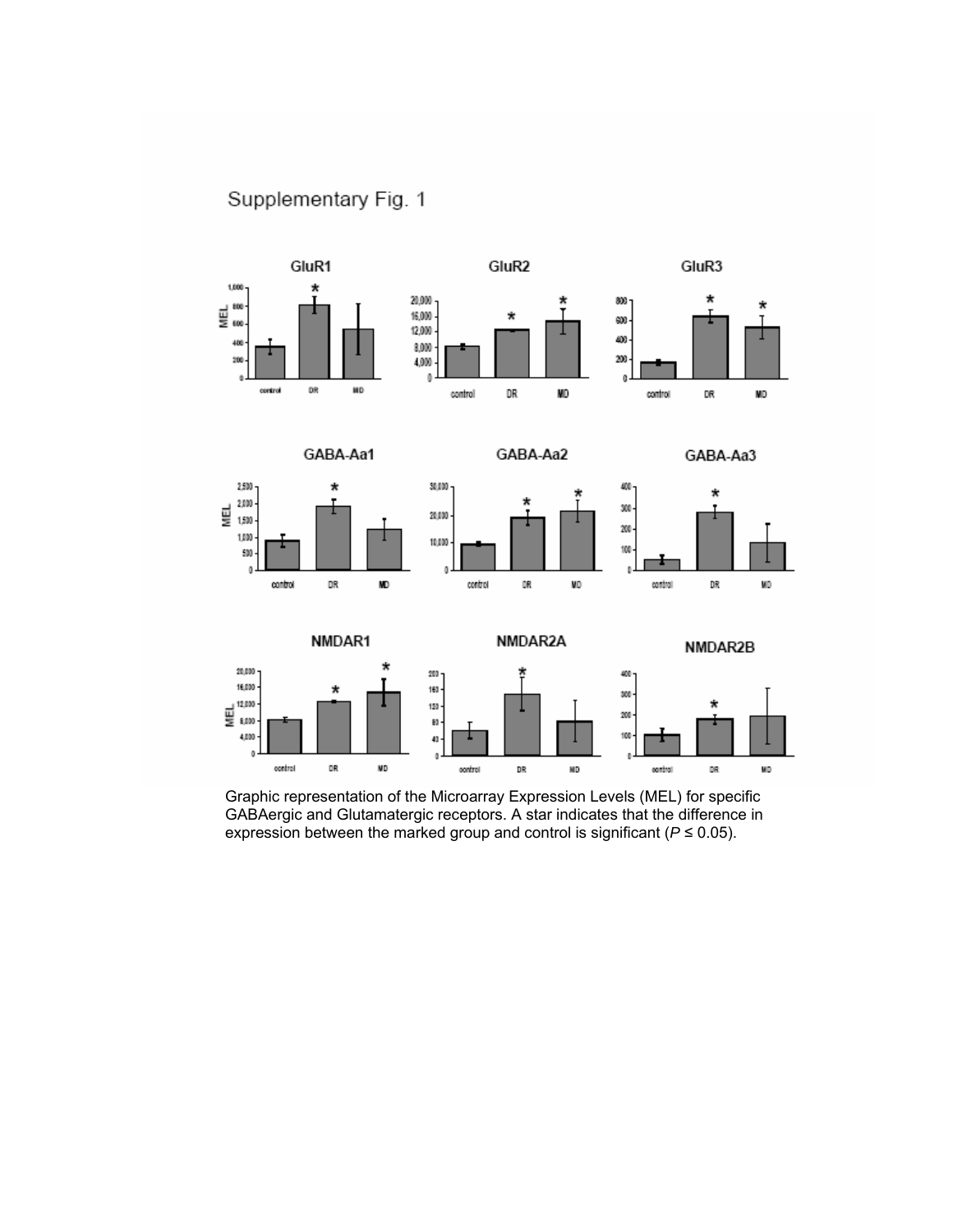Supplementary Fig. 1



Graphic representation of the Microarray Expression Levels (MEL) for specific GABAergic and Glutamatergic receptors. A star indicates that the difference in expression between the marked group and control is significant ( $P \le 0.05$ ).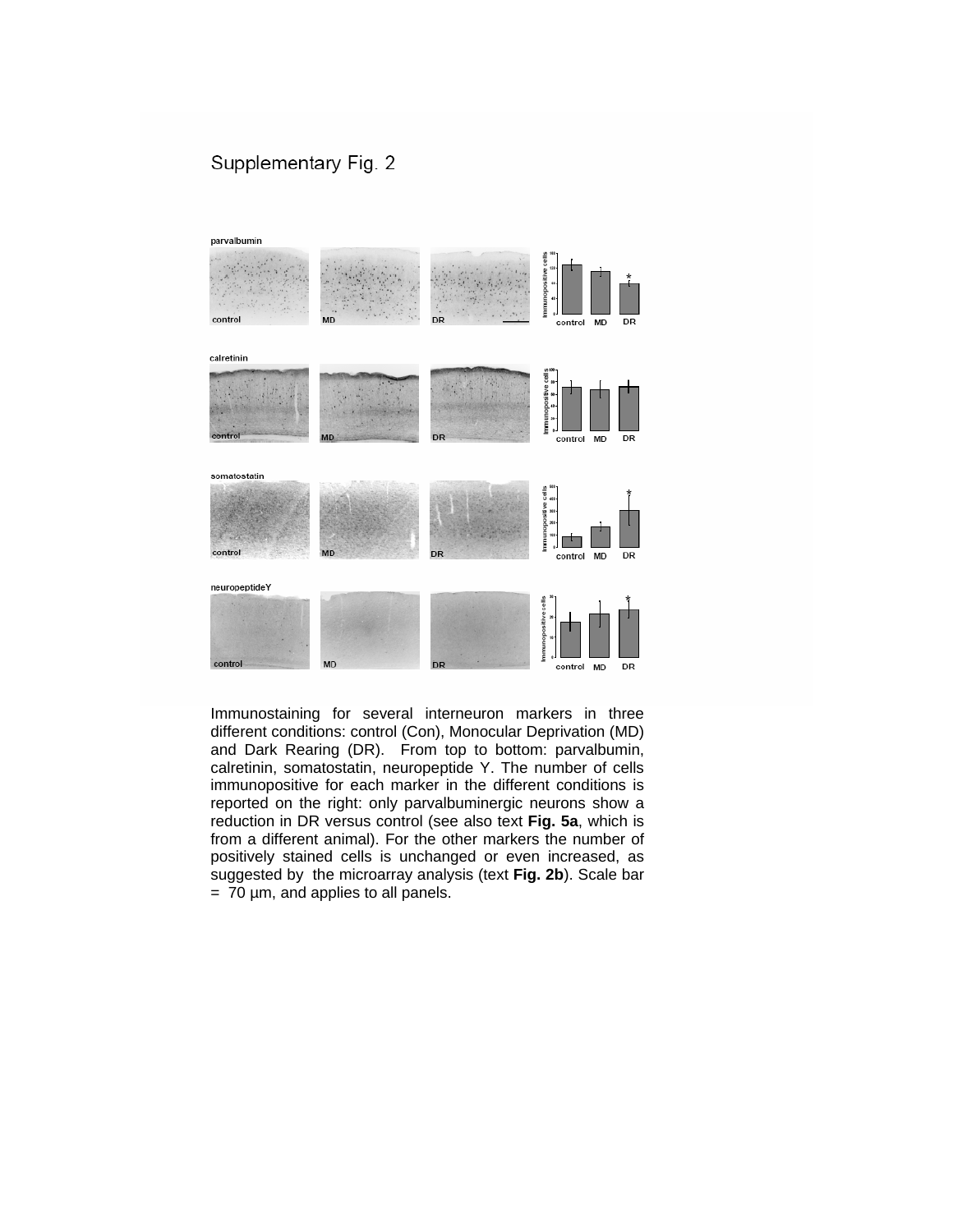### Supplementary Fig. 2



Immunostaining for several interneuron markers in three different conditions: control (Con), Monocular Deprivation (MD) and Dark Rearing (DR). From top to bottom: parvalbumin, calretinin, somatostatin, neuropeptide Y. The number of cells immunopositive for each marker in the different conditions is reported on the right: only parvalbuminergic neurons show a reduction in DR versus control (see also text **Fig. 5a**, which is from a different animal). For the other markers the number of positively stained cells is unchanged or even increased, as suggested by the microarray analysis (text **Fig. 2b**). Scale bar  $= 70$   $\mu$ m, and applies to all panels.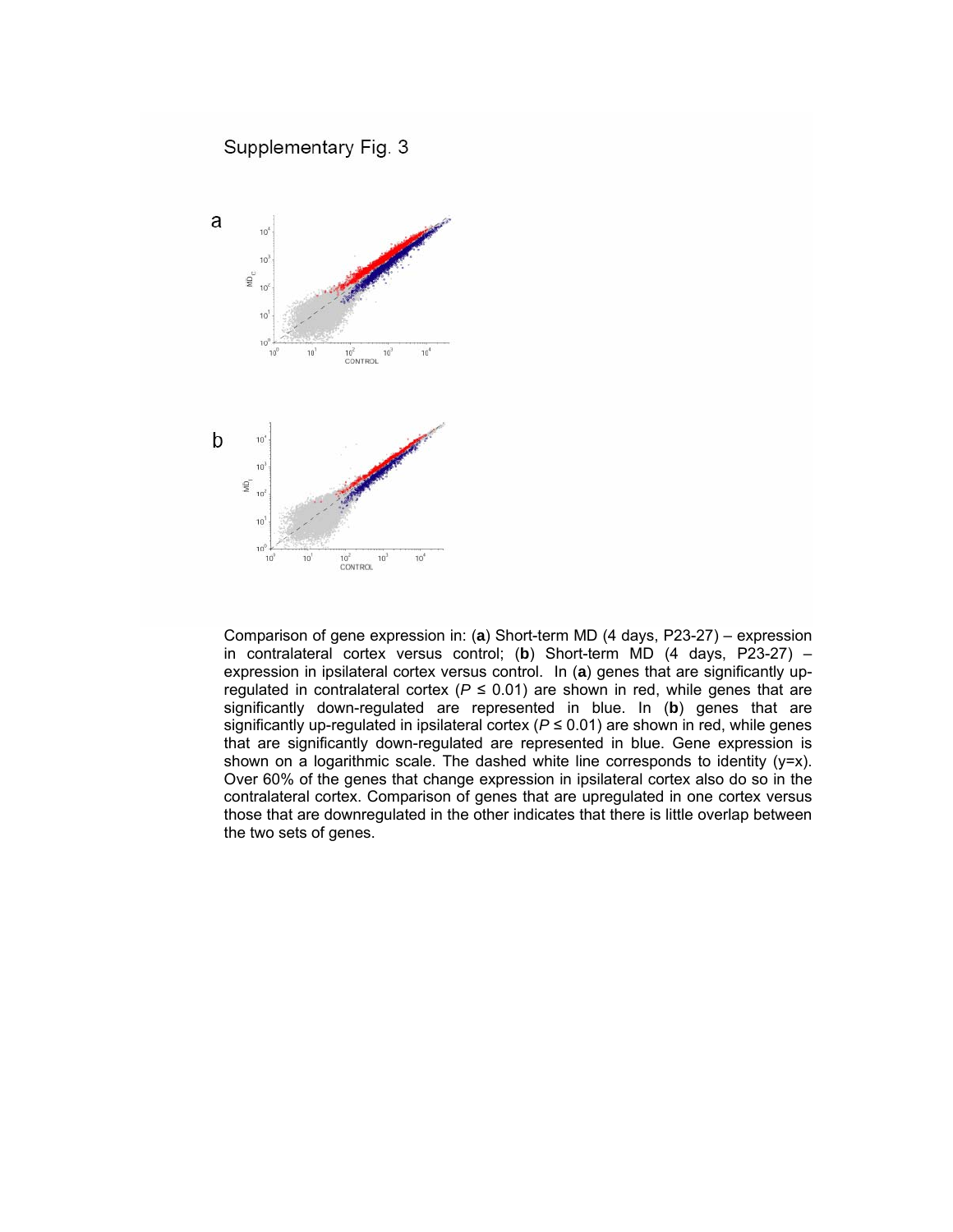

Comparison of gene expression in: (**a**) Short-term MD (4 days, P23-27) – expression in contralateral cortex versus control; (**b**) Short-term MD (4 days, P23-27) – expression in ipsilateral cortex versus control. In (**a**) genes that are significantly upregulated in contralateral cortex ( $P \le 0.01$ ) are shown in red, while genes that are significantly down-regulated are represented in blue. In (**b**) genes that are significantly up-regulated in ipsilateral cortex ( $P \le 0.01$ ) are shown in red, while genes that are significantly down-regulated are represented in blue. Gene expression is shown on a logarithmic scale. The dashed white line corresponds to identity (y=x). Over 60% of the genes that change expression in ipsilateral cortex also do so in the contralateral cortex. Comparison of genes that are upregulated in one cortex versus those that are downregulated in the other indicates that there is little overlap between the two sets of genes.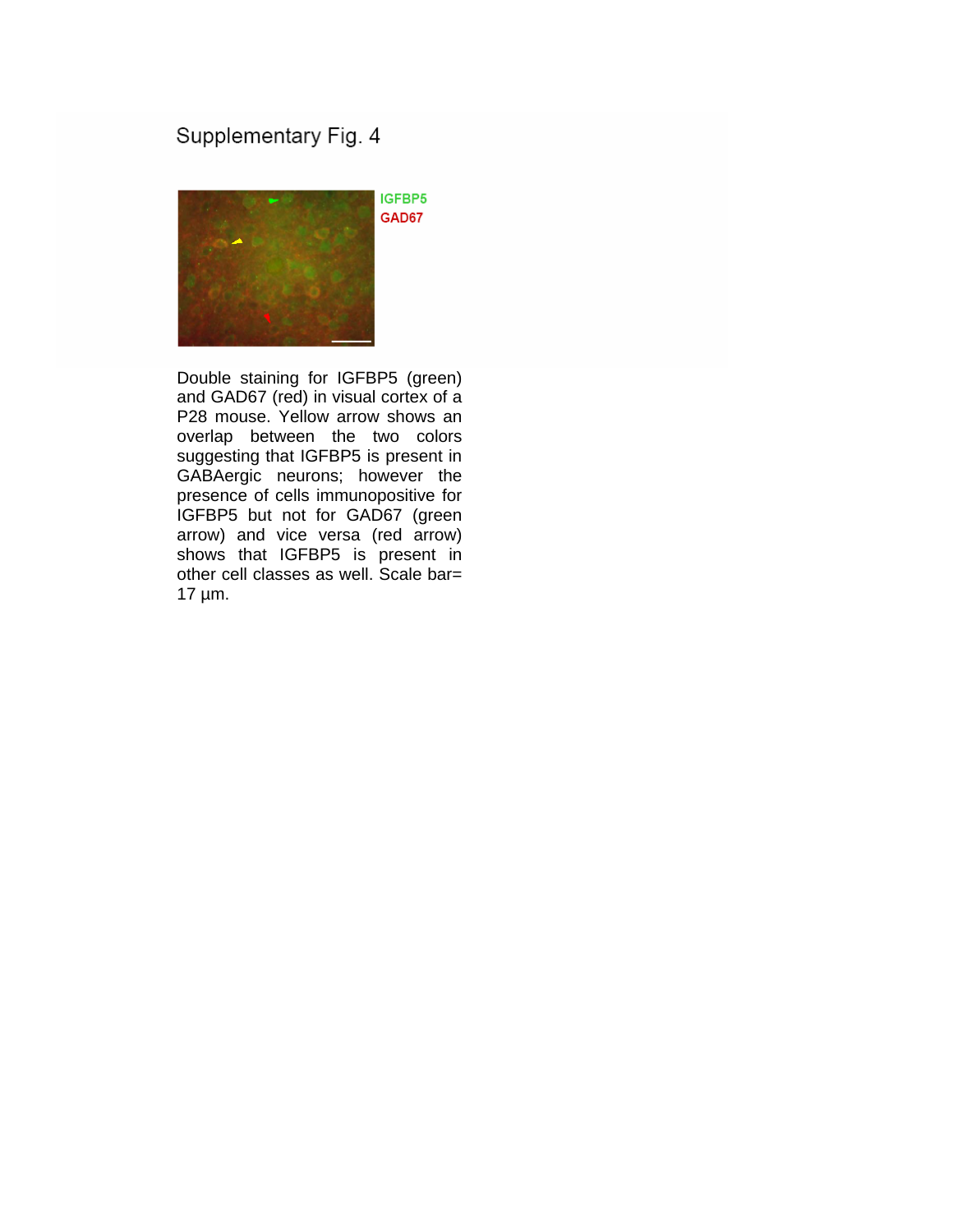## Supplementary Fig. 4



Double staining for IGFBP5 (green) and GAD67 (red) in visual cortex of a P28 mouse. Yellow arrow shows an overlap between the two colors suggesting that IGFBP5 is present in GABAergic neurons; however the presence of cells immunopositive for IGFBP5 but not for GAD67 (green arrow) and vice versa (red arrow) shows that IGFBP5 is present in other cell classes as well. Scale bar= 17 µm.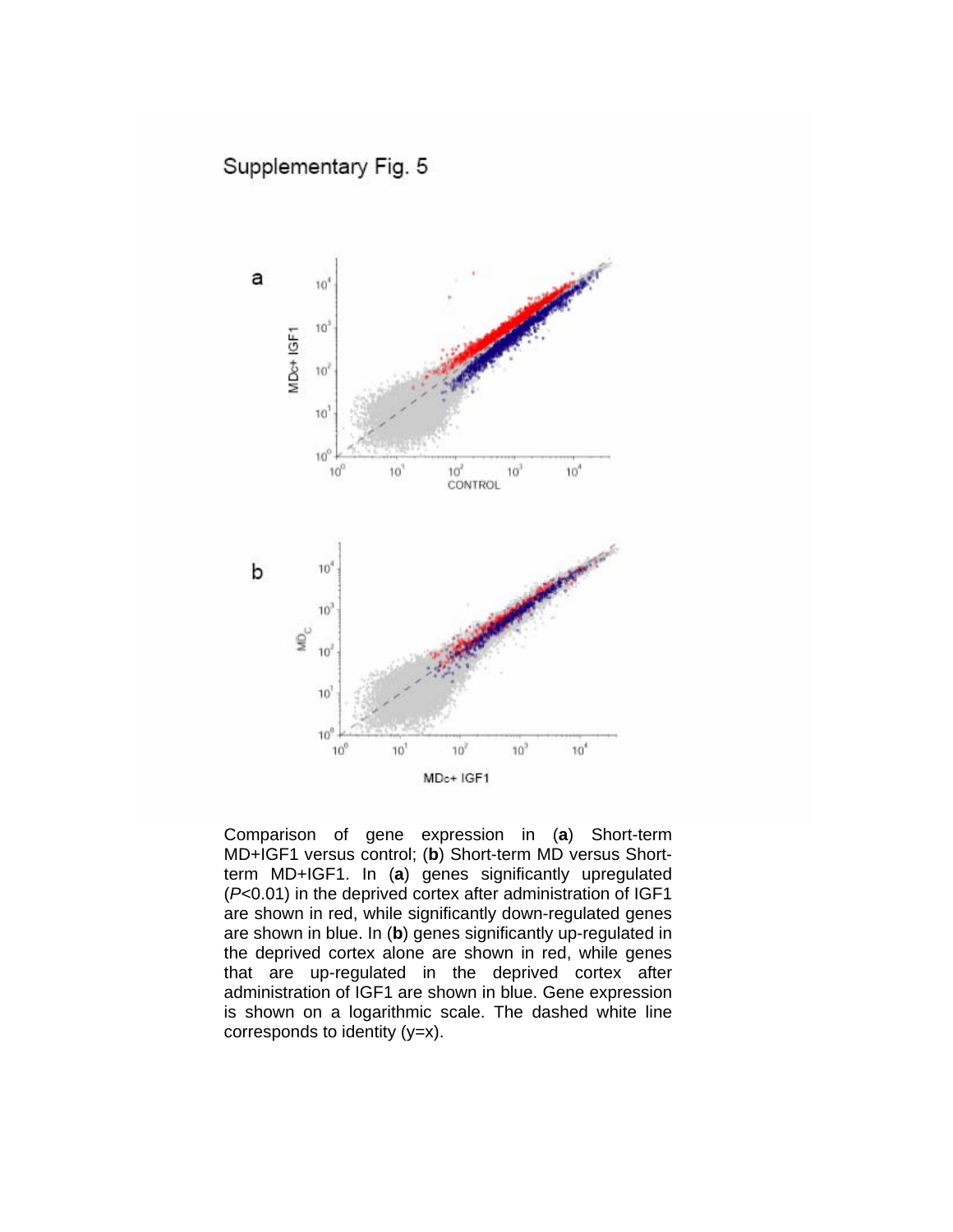

Comparison of gene expression in (**a**) Short-term MD+IGF1 versus control; (**b**) Short-term MD versus Shortterm MD+IGF1. In (**a**) genes significantly upregulated (*P*<0.01) in the deprived cortex after administration of IGF1 are shown in red, while significantly down-regulated genes are shown in blue. In (**b**) genes significantly up-regulated in the deprived cortex alone are shown in red, while genes that are up-regulated in the deprived cortex after administration of IGF1 are shown in blue. Gene expression is shown on a logarithmic scale. The dashed white line corresponds to identity  $(y=x)$ .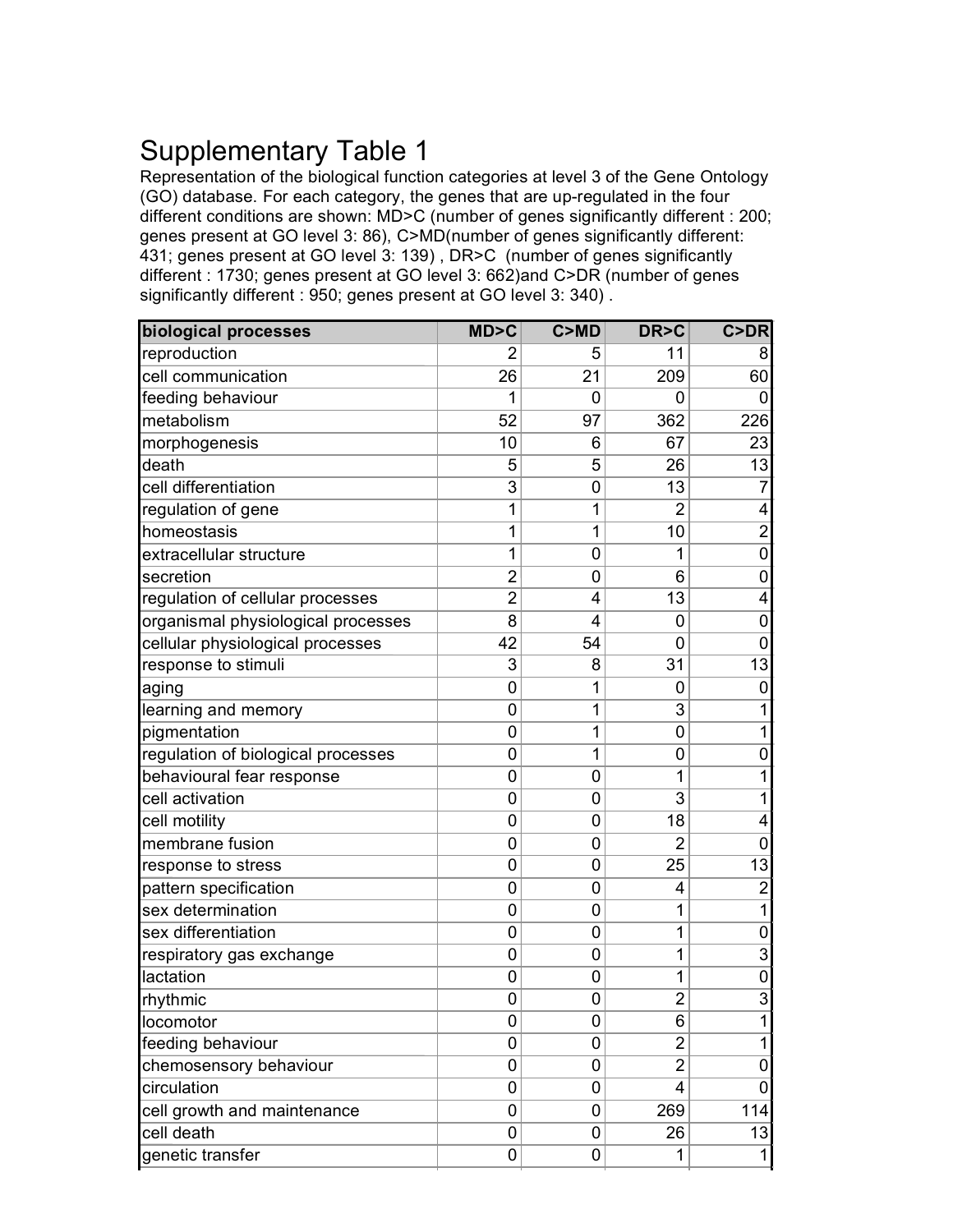# Supplementary Table 1

Representation of the biological function categories at level 3 of the Gene Ontology (GO) database. For each category, the genes that are up-regulated in the four different conditions are shown: MD>C (number of genes significantly different : 200; genes present at GO level 3: 86), C>MD(number of genes significantly different: 431; genes present at GO level 3: 139) , DR>C (number of genes significantly different : 1730; genes present at GO level 3: 662)and C>DR (number of genes significantly different : 950; genes present at GO level 3: 340) .

| reproduction<br>cell communication<br>feeding behaviour<br>metabolism<br>morphogenesis<br>death<br>cell differentiation<br>regulation of gene<br>homeostasis<br>extracellular structure<br>secretion | 26<br>1<br>52<br>10<br>5<br>3<br>1<br>1<br>1<br>$\overline{2}$ | 5<br>21<br>$\Omega$<br>97<br>6<br>5<br>0<br>1<br>1<br>0 | 11<br>209<br>0<br>362<br>67<br>26<br>13<br>$\overline{2}$<br>10 | 8<br>60<br>$\Omega$<br>226<br>23<br>$\overline{13}$<br>7 |
|------------------------------------------------------------------------------------------------------------------------------------------------------------------------------------------------------|----------------------------------------------------------------|---------------------------------------------------------|-----------------------------------------------------------------|----------------------------------------------------------|
|                                                                                                                                                                                                      |                                                                |                                                         |                                                                 |                                                          |
|                                                                                                                                                                                                      |                                                                |                                                         |                                                                 |                                                          |
|                                                                                                                                                                                                      |                                                                |                                                         |                                                                 |                                                          |
|                                                                                                                                                                                                      |                                                                |                                                         |                                                                 |                                                          |
|                                                                                                                                                                                                      |                                                                |                                                         |                                                                 |                                                          |
|                                                                                                                                                                                                      |                                                                |                                                         |                                                                 |                                                          |
|                                                                                                                                                                                                      |                                                                |                                                         |                                                                 |                                                          |
|                                                                                                                                                                                                      |                                                                |                                                         |                                                                 | 4                                                        |
|                                                                                                                                                                                                      |                                                                |                                                         |                                                                 | $\overline{2}$                                           |
|                                                                                                                                                                                                      |                                                                |                                                         | 1                                                               | $\mathbf 0$                                              |
|                                                                                                                                                                                                      |                                                                | 0                                                       | 6                                                               | $\mathbf 0$                                              |
| regulation of cellular processes                                                                                                                                                                     | $\overline{2}$                                                 | 4                                                       | 13                                                              | 4                                                        |
| organismal physiological processes                                                                                                                                                                   | 8                                                              | 4                                                       | 0                                                               | $\mathbf 0$                                              |
| cellular physiological processes                                                                                                                                                                     | 42                                                             | 54                                                      | 0                                                               | $\mathbf 0$                                              |
| response to stimuli                                                                                                                                                                                  | 3                                                              | 8                                                       | 31                                                              | 13                                                       |
| aging                                                                                                                                                                                                | 0                                                              | 1                                                       | 0                                                               | 0                                                        |
| learning and memory                                                                                                                                                                                  | 0                                                              | 1                                                       | 3                                                               | 1                                                        |
| pigmentation                                                                                                                                                                                         | 0                                                              | 1                                                       | 0                                                               | 1                                                        |
| regulation of biological processes                                                                                                                                                                   | 0                                                              | 1                                                       | 0                                                               | $\mathbf 0$                                              |
| behavioural fear response                                                                                                                                                                            | 0                                                              | 0                                                       | 1                                                               | 1                                                        |
| cell activation                                                                                                                                                                                      | 0                                                              | 0                                                       | 3                                                               | 1                                                        |
| cell motility                                                                                                                                                                                        | 0                                                              | $\overline{0}$                                          | 18                                                              | 4                                                        |
| membrane fusion                                                                                                                                                                                      | 0                                                              | 0                                                       | 2                                                               | 0                                                        |
| response to stress                                                                                                                                                                                   | 0                                                              | 0                                                       | 25                                                              | 13                                                       |
| pattern specification                                                                                                                                                                                | 0                                                              | 0                                                       | 4                                                               | $\overline{c}$                                           |
| sex determination                                                                                                                                                                                    | 0                                                              | 0                                                       | 1                                                               | 1                                                        |
| sex differentiation                                                                                                                                                                                  | 0                                                              | 0                                                       | 1                                                               | $\mathbf 0$                                              |
| respiratory gas exchange                                                                                                                                                                             | 0                                                              | 0                                                       | 1                                                               | $\overline{3}$                                           |
| lactation                                                                                                                                                                                            | 0                                                              | 0                                                       | 1                                                               | $\mathbf 0$                                              |
| rhythmic                                                                                                                                                                                             | 0                                                              | 0                                                       | $\overline{2}$                                                  | $\overline{3}$                                           |
| locomotor                                                                                                                                                                                            | 0                                                              | 0                                                       | 6                                                               |                                                          |
| feeding behaviour                                                                                                                                                                                    | 0                                                              | 0                                                       | $\overline{2}$                                                  | $\mathbf{1}$                                             |
| chemosensory behaviour                                                                                                                                                                               | 0                                                              | 0                                                       | $\overline{2}$                                                  | 0                                                        |
| circulation                                                                                                                                                                                          | 0                                                              | 0                                                       | 4                                                               | 0                                                        |
| cell growth and maintenance                                                                                                                                                                          | 0                                                              | 0                                                       | 269                                                             | 114                                                      |
| cell death                                                                                                                                                                                           | 0                                                              | 0                                                       | 26                                                              | 13                                                       |
| genetic transfer                                                                                                                                                                                     | 0                                                              | 0                                                       | 1                                                               | $\mathbf{1}$                                             |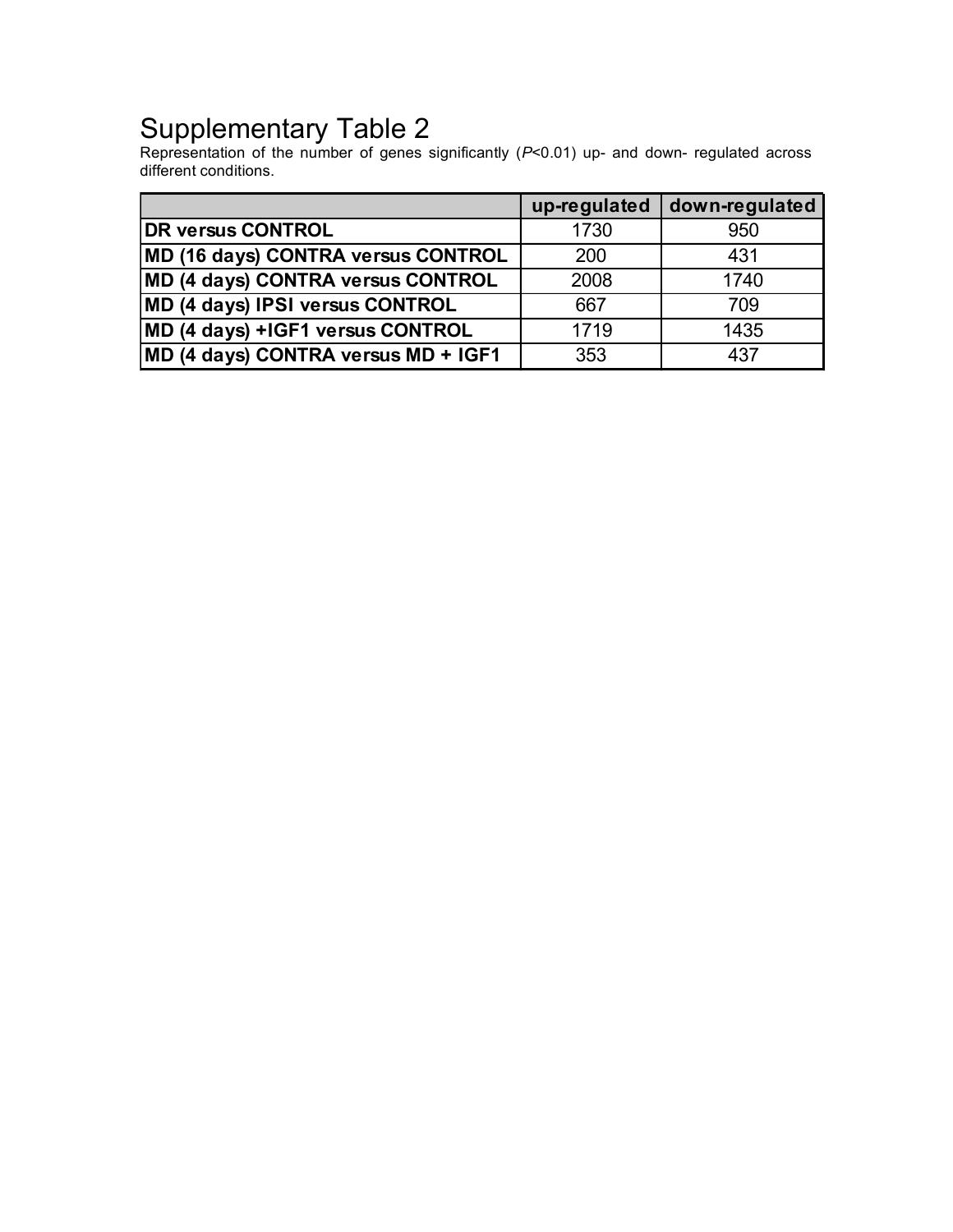# Supplementary Table 2

Representation of the number of genes significantly (*P*<0.01) up- and down- regulated across different conditions.

|                                     | up-regulated | down-regulated |
|-------------------------------------|--------------|----------------|
| <b>DR versus CONTROL</b>            | 1730         | 950            |
| MD (16 days) CONTRA versus CONTROL  | 200          | 431            |
| MD (4 days) CONTRA versus CONTROL   | 2008         | 1740           |
| MD (4 days) IPSI versus CONTROL     | 667          | 709            |
| MD (4 days) +IGF1 versus CONTROL    | 1719         | 1435           |
| MD (4 days) CONTRA versus MD + IGF1 | 353          | 437            |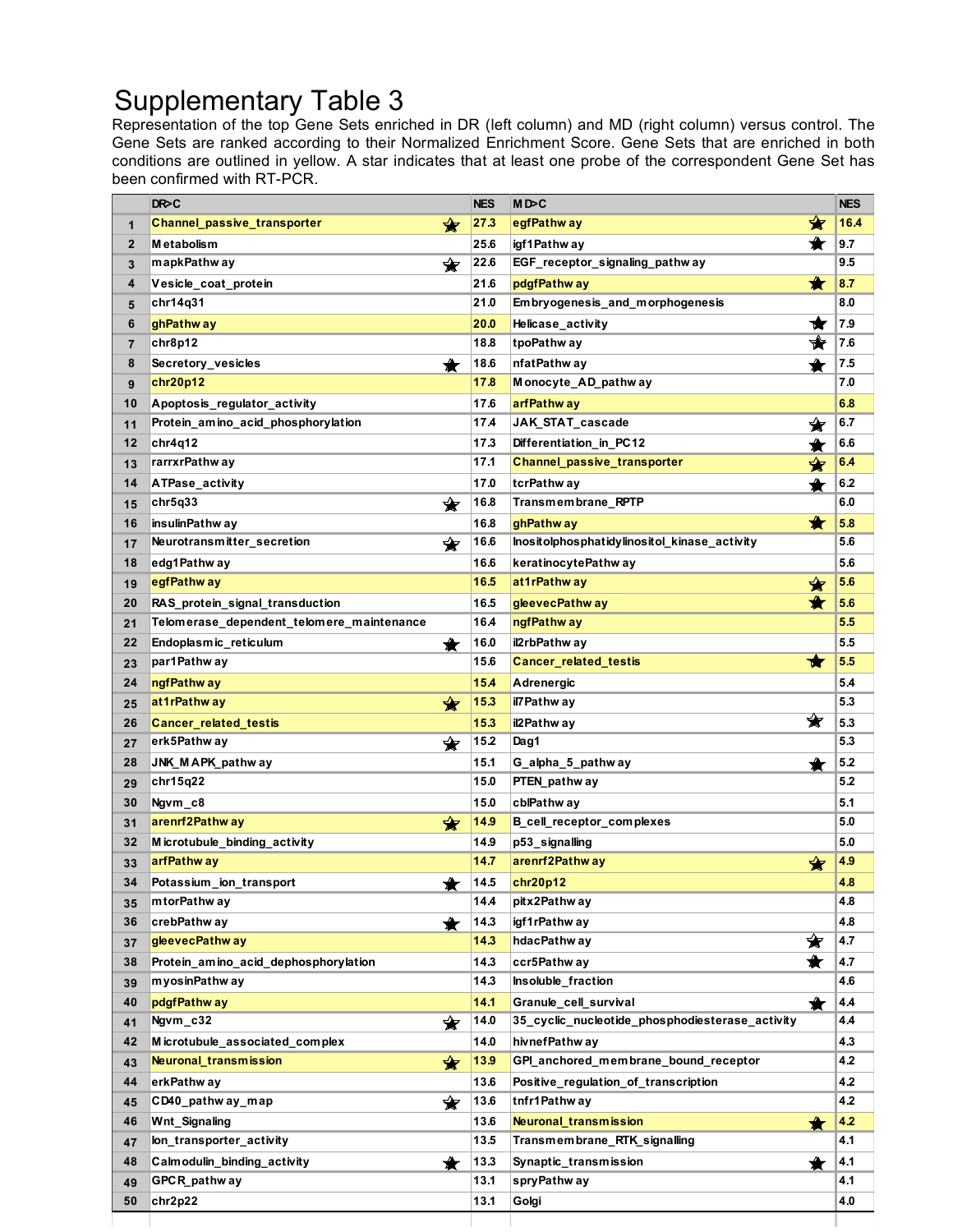# Supplementary Table 3

Representation of the top Gene Sets enriched in DR (left column) and MD (right column) versus control. The Gene Sets are ranked according to their Normalized Enrichment Score. Gene Sets that are enriched in both conditions are outlined in yellow. A star indicates that at least one probe of the correspondent Gene Set has been confirmed with RT-PCR.

|              | DR>C                                      | <b>NES</b> | MD>C                                            | <b>NES</b> |
|--------------|-------------------------------------------|------------|-------------------------------------------------|------------|
| $\mathbf{1}$ | Channel_passive_transporter<br>❤          | 27.3       | ✿<br>egfPathw ay                                | 16.4       |
| $\mathbf{2}$ | <b>Metabolism</b>                         | 25.6       | ★<br>igf 1 Pathw ay                             | 9.7        |
| 3            | mapkPathw ay<br>❤                         | 22.6       | EGF_receptor_signaling_pathway                  | 9.5        |
| 4            | Vesicle_coat_protein                      | 21.6       | ★<br>pdgfPathw ay                               | 8.7        |
| 5            | chr14q31                                  | 21.0       | Embryogenesis_and_morphogenesis                 | 8.0        |
| 6            | ghPathw ay                                | 20.0       | ★<br>Helicase activity                          | 7.9        |
| 7            | chr8p12                                   | 18.8       | ₩<br>tpoPathw ay                                | 7.6        |
| 8            | Secretory_vesicles<br>$\bigstar$          | 18.6       | ★<br>nfatPathw ay                               | 7.5        |
| 9            | chr20p12                                  | 17.8       | Monocyte_AD_pathway                             | 7.0        |
| 10           | Apoptosis_regulator_activity              | 17.6       | arfPathw ay                                     | 6.8        |
| 11           | Protein_amino_acid_phosphorylation        | 17.4       | JAK_STAT_cascade<br>✬                           | 6.7        |
| 12           | chr4q12                                   | 17.3       | Differentiation_in_PC12<br>♠                    | 6.6        |
| 13           | rarrxrPathw ay                            | 17.1       | <b>Channel_passive_transporter</b><br>✬         | 6.4        |
| 14           | ATPase_activity                           | 17.0       | tcrPathw ay                                     | 6.2        |
| 15           | chr5q33<br>❤                              | 16.8       | Transmembrane_RPTP                              | 6.0        |
| 16           | insulinPathw ay                           | 16.8       | ★<br>ghPathw ay                                 | 5.8        |
| 17           | Neurotransmitter_secretion<br>❤           | 16.6       | Inositolphosphatidylinositol kinase activity    | 5.6        |
| 18           | edg1Pathw ay                              | 16.6       | keratinocytePathw ay                            | 5.6        |
| 19           | egfPathw ay                               | 16.5       | ✿<br>at1rPathw ay                               | 5.6        |
| 20           | RAS protein signal transduction           | 16.5       | ♠<br>gleevecPathw ay                            | 5.6        |
| 21           | Telomerase_dependent_telomere_maintenance | 16.4       | ngfPathw ay                                     | 5.5        |
| 22           | Endoplasmic_reticulum<br>★                | 16.0       | il2rbPathw ay                                   | 5.5        |
| 23           | par1Pathw ay                              | 15.6       | ₩<br><b>Cancer_related_testis</b>               | 5.5        |
| 24           | ngfPathway                                | 15.4       | Adrenergic                                      | 5.4        |
| 25           | at1rPathway<br>✿                          | 15.3       | il7Pathw ay                                     | 5.3        |
| 26           | <b>Cancer_related_testis</b>              | 15.3       | ❤<br>il2Pathway                                 | 5.3        |
| 27           | ✿<br>erk5Pathw ay                         | 15.2       | Dag1                                            | 5.3        |
| 28           | JNK_MAPK_pathway                          | 15.1       | G_alpha_5_pathw ay<br>★                         | 5.2        |
| 29           | chr15q22                                  | 15.0       | PTEN_pathw ay                                   | 5.2        |
| 30           | Ngvm_c8                                   | 15.0       | cblPathw ay                                     | 5.1        |
| 31           | arenrf2Pathway<br>✿                       | 14.9       | B_cell_receptor_complexes                       | 5.0        |
| 32           | Microtubule binding activity              | 14.9       | p53_signalling                                  | 5.0        |
| 33           | arfPathw ay                               | 14.7       | arenrf2Pathway<br>✿                             | 4.9        |
| 34           | Potassium_ion_transport<br>♠              | 14.5       | chr20p12                                        | 4.8        |
| 35           | mtorPathw ay                              | 14.4       | pitx2Pathway                                    | 4.8        |
| 36           | crebPathw ay<br>₩                         | 14.3       | igf1rPathw ay                                   | 4.8        |
| 37           | gleevecPathway                            | 14.3       | ✬<br>hdacPathw ay                               | 4.7        |
| 38           | Protein_amino_acid_dephosphorylation      | 14.3       | ★<br>ccr5Pathw ay                               | 4.7        |
| 39           | m yosinPathw ay                           | 14.3       | Insoluble_fraction                              | 4.6        |
| 40           | pdgfPathw ay                              | 14.1       | Granule_cell_survival<br>★                      | 4.4        |
| 41           | Ngvm_c32<br>❤                             | 14.0       | 35 cyclic nucleotide phosphodiesterase activity | 4.4        |
| 42           | Microtubule associated complex            | 14.0       | hivnefPathw ay                                  | 4.3        |
| 43           | Neuronal_transmission<br>✿                | 13.9       | GPI_anchored_membrane_bound_receptor            | 4.2        |
| 44           | erkPathw ay                               | 13.6       | Positive regulation of transcription            | 4.2        |
| 45           | CD40_pathw ay_map<br>❤                    | 13.6       | tnfr1Pathway                                    | 4.2        |
| 46           | Wnt_Signaling                             | 13.6       | <b>Neuronal transmission</b><br>₩               | 4.2        |
| 47           | lon_transporter_activity                  | 13.5       | Transmembrane_RTK_signalling                    | 4.1        |
| 48           | Calmodulin_binding_activity<br>✦          | 13.3       | Synaptic_transmission<br>✦                      | 4.1        |
| 49           | GPCR_pathw ay                             | 13.1       | spryPathw ay                                    | 4.1        |
| 50           | chr2p22                                   | 13.1       | Golgi                                           | 4.0        |
|              |                                           |            |                                                 |            |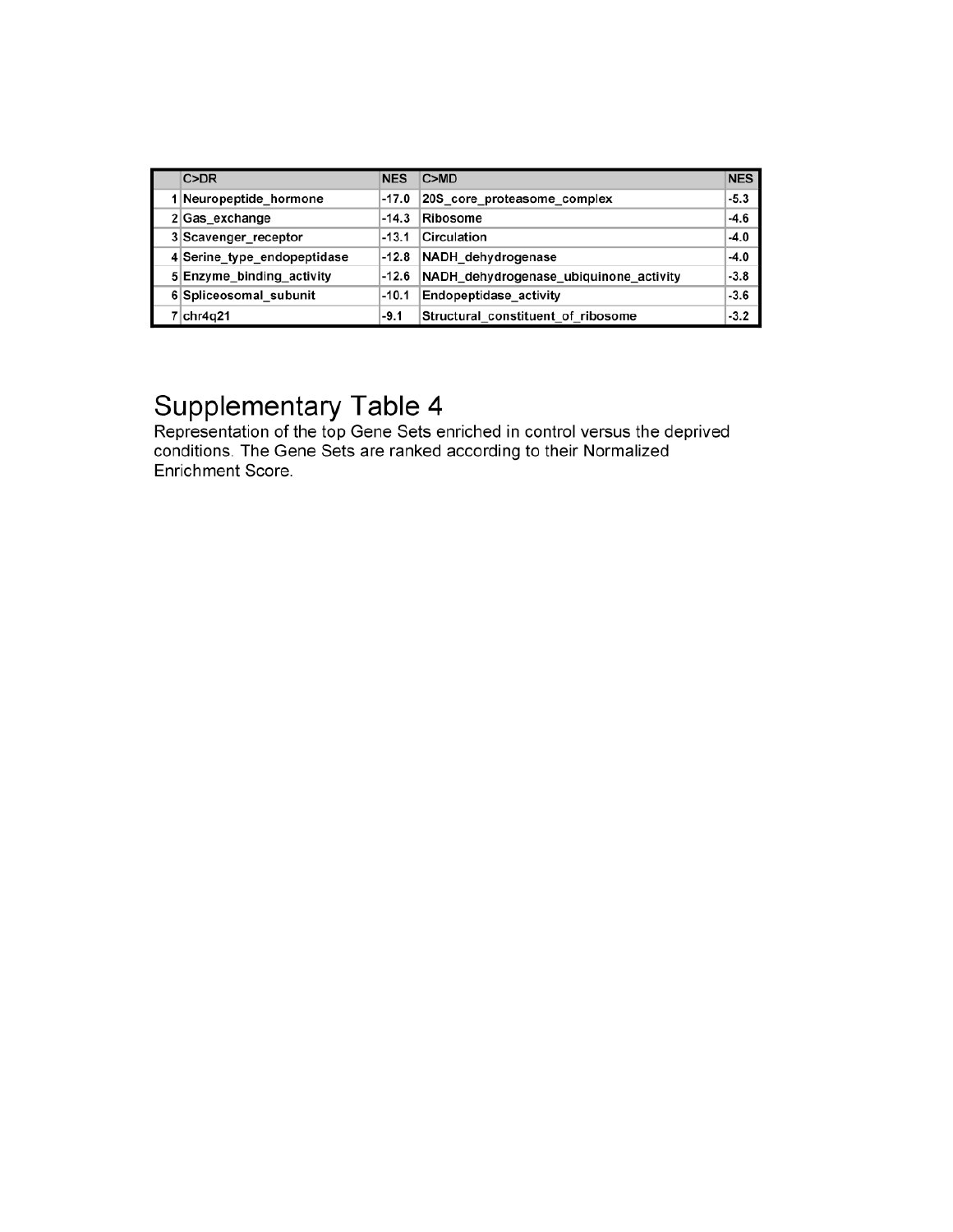| C>DR                        | <b>NES</b> | C>MD                                   | <b>NES</b> |
|-----------------------------|------------|----------------------------------------|------------|
| 1 Neuropeptide hormone      | -17.0      | 20S core proteasome complex            | $-5.3$     |
| 2 Gas_exchange              | $-14.3$    | Ribosome                               | $-4.6$     |
| 3 Scavenger receptor        | $-13.1$    | Circulation                            | $-4.0$     |
| 4 Serine type endopeptidase | $-12.8$    | NADH_dehydrogenase                     | $-4.0$     |
| 5 Enzyme_binding_activity   | -12.6      | NADH_dehydrogenase_ubiquinone_activity | $-3.8$     |
| 6 Spliceosomal subunit      | $-10.1$    | Endopeptidase activity                 | $-3.6$     |
| 7 chr4q21                   | $-9.1$     | Structural constituent of ribosome     | $-3.2$     |

Supplementary Table 4<br>Representation of the top Gene Sets enriched in control versus the deprived<br>conditions. The Gene Sets are ranked according to their Normalized Enrichment Score.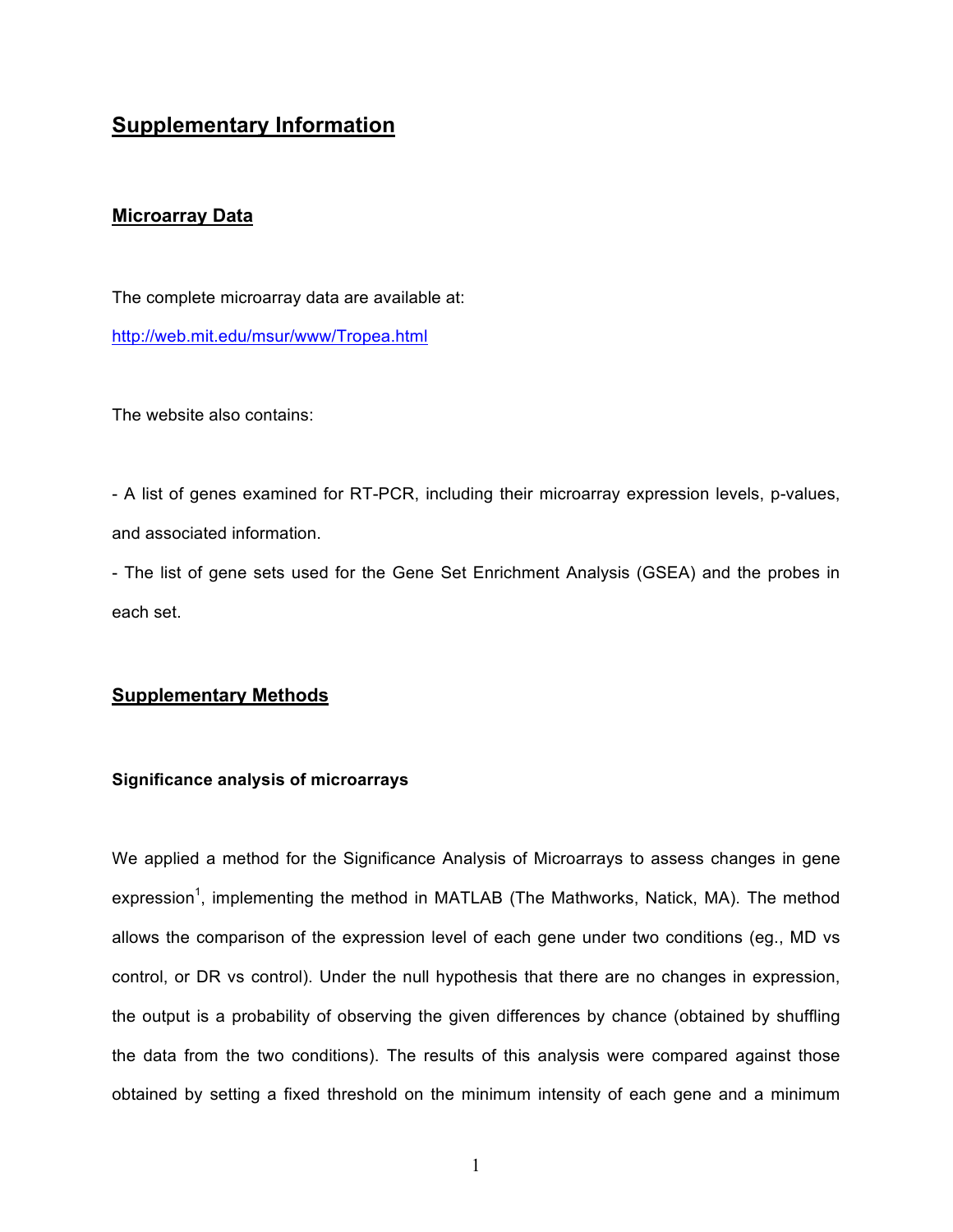### **Supplementary Information**

#### **Microarray Data**

The complete microarray data are available at: http://web.mit.edu/msur/www/Tropea.html

The website also contains:

- A list of genes examined for RT-PCR, including their microarray expression levels, p-values, and associated information.

- The list of gene sets used for the Gene Set Enrichment Analysis (GSEA) and the probes in each set.

#### **Supplementary Methods**

#### **Significance analysis of microarrays**

We applied a method for the Significance Analysis of Microarrays to assess changes in gene expression<sup>1</sup>, implementing the method in MATLAB (The Mathworks, Natick, MA). The method allows the comparison of the expression level of each gene under two conditions (eg., MD vs control, or DR vs control). Under the null hypothesis that there are no changes in expression, the output is a probability of observing the given differences by chance (obtained by shuffling the data from the two conditions). The results of this analysis were compared against those obtained by setting a fixed threshold on the minimum intensity of each gene and a minimum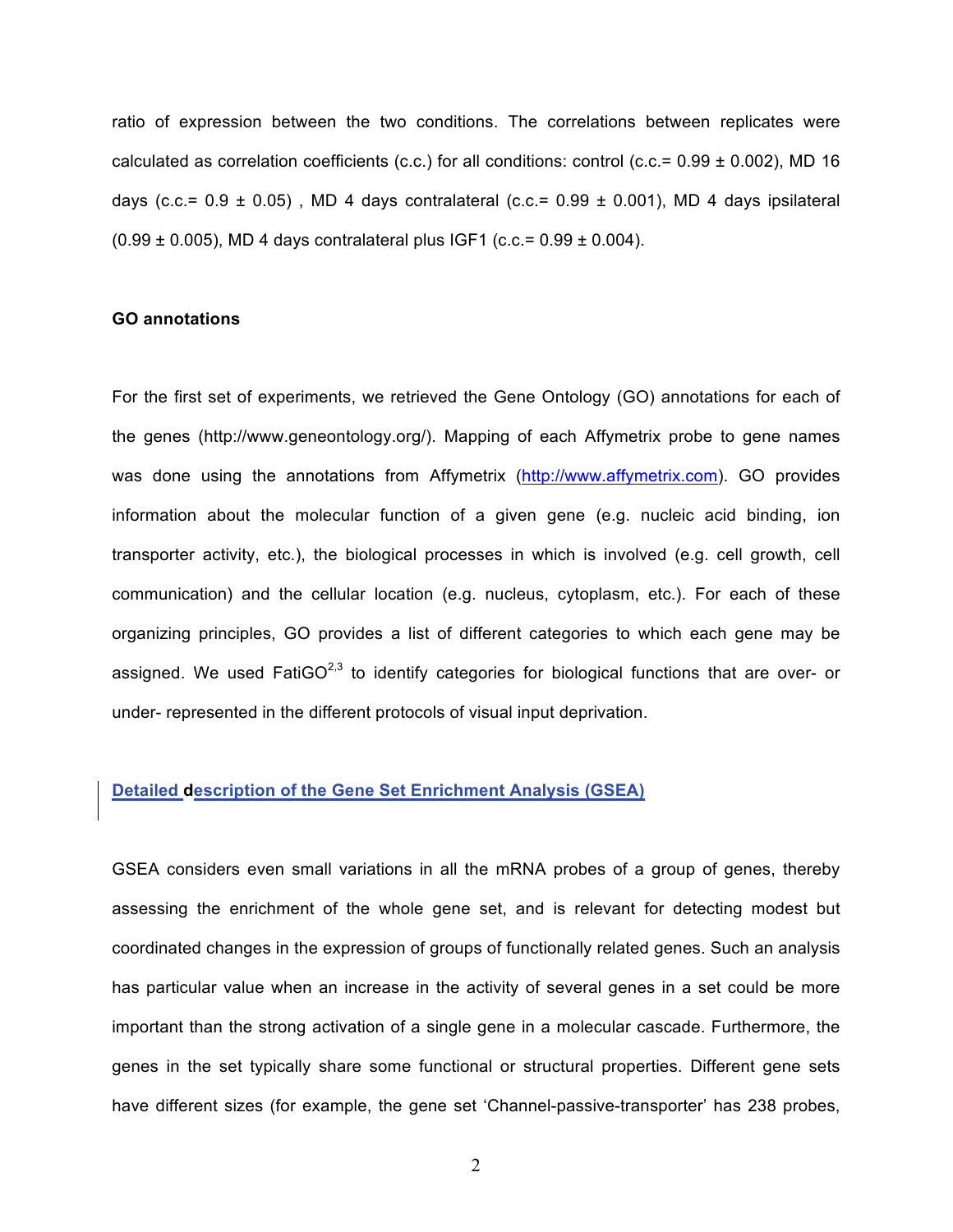ratio of expression between the two conditions. The correlations between replicates were calculated as correlation coefficients (c.c.) for all conditions: control (c.c.=  $0.99 \pm 0.002$ ), MD 16 days (c.c.=  $0.9 \pm 0.05$ ), MD 4 days contralateral (c.c.=  $0.99 \pm 0.001$ ), MD 4 days ipsilateral  $(0.99 \pm 0.005)$ , MD 4 days contralateral plus IGF1 (c.c.=  $0.99 \pm 0.004$ ).

#### **GO annotations**

For the first set of experiments, we retrieved the Gene Ontology (GO) annotations for each of the genes (http://www.geneontology.org/). Mapping of each Affymetrix probe to gene names was done using the annotations from Affymetrix (http://www.affymetrix.com). GO provides information about the molecular function of a given gene (e.g. nucleic acid binding, ion transporter activity, etc.), the biological processes in which is involved (e.g. cell growth, cell communication) and the cellular location (e.g. nucleus, cytoplasm, etc.). For each of these organizing principles, GO provides a list of different categories to which each gene may be assigned. We used FatiGO<sup>2,3</sup> to identify categories for biological functions that are over- or under- represented in the different protocols of visual input deprivation.

### **Detailed description of the Gene Set Enrichment Analysis (GSEA)**

GSEA considers even small variations in all the mRNA probes of a group of genes, thereby assessing the enrichment of the whole gene set, and is relevant for detecting modest but coordinated changes in the expression of groups of functionally related genes. Such an analysis has particular value when an increase in the activity of several genes in a set could be more important than the strong activation of a single gene in a molecular cascade. Furthermore, the genes in the set typically share some functional or structural properties. Different gene sets have different sizes (for example, the gene set 'Channel-passive-transporter' has 238 probes,

2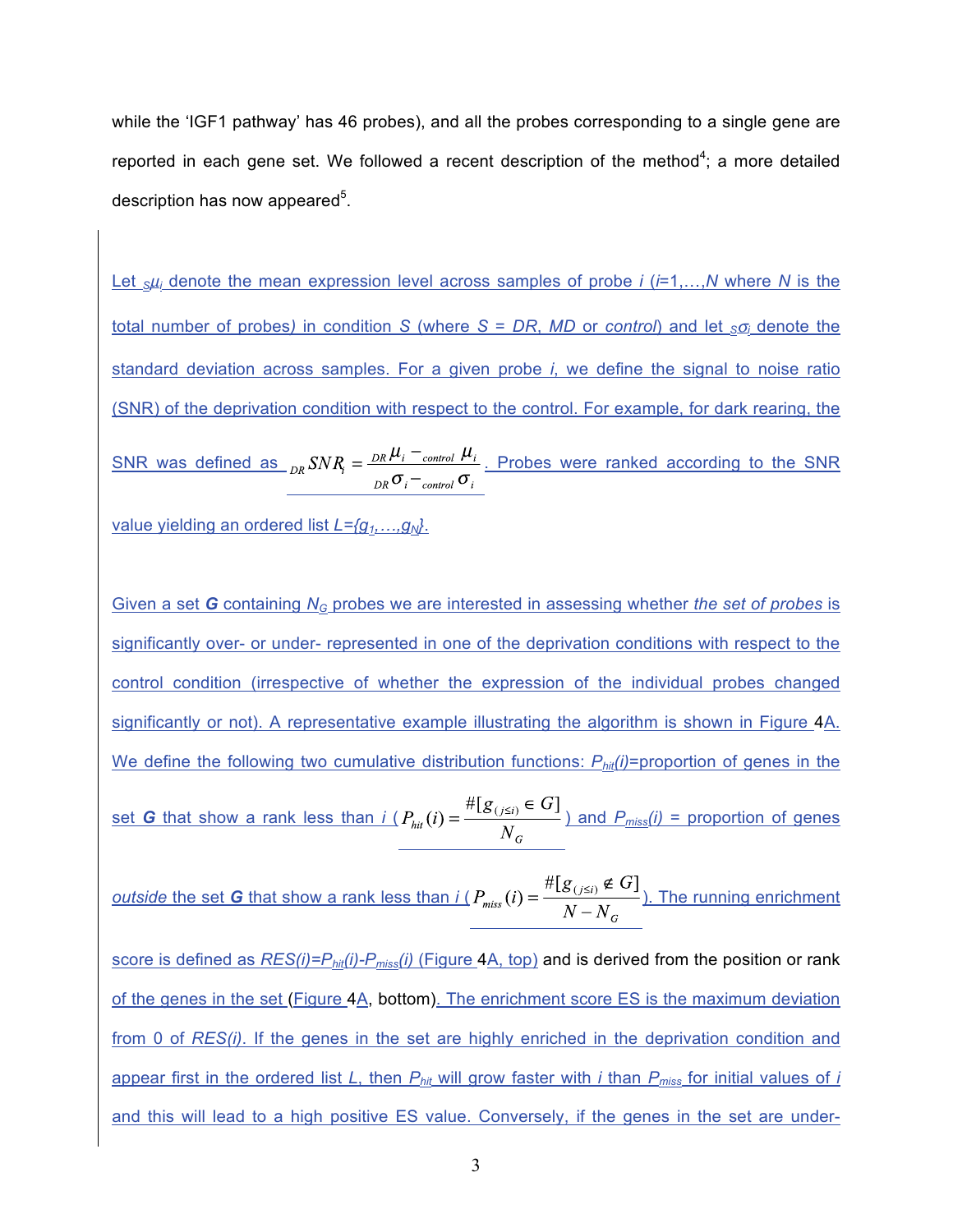while the 'IGF1 pathway' has 46 probes), and all the probes corresponding to a single gene are reported in each gene set. We followed a recent description of the method<sup>4</sup>; a more detailed description has now appeared<sup>5</sup>.

Let *S*µ*i* denote the mean expression level across samples of probe *i* (*i*=1,…,*N* where *N* is the total number of probes) in condition *S* (where *S* = *DR*, *MD* or *control*) and let  $_{S\overline{O}}$  denote the standard deviation across samples. For a given probe *i*, we define the signal to noise ratio (SNR) of the deprivation condition with respect to the control. For example, for dark rearing, the SNR was defined as  $_{DR}SNR_i = \frac{_{DR}\mu_i -_{control}\mu_i}{_{DR}\sigma_i -_{control}\sigma_i}$ . Probes were ranked according to the SNR

value yielding an ordered list *L={g1,…,gN}*.

Given a set *G* containing *NG* probes we are interested in assessing whether *the set of probes* is significantly over- or under- represented in one of the deprivation conditions with respect to the control condition (irrespective of whether the expression of the individual probes changed significantly or not). A representative example illustrating the algorithm is shown in Figure 4A. We define the following two cumulative distribution functions:  $P_{\text{hit}}(i)$ =proportion of genes in the set *G* that show a rank less than  $i(P_{hit}(i) = \frac{\#[g_{(i \le i)} \in G]}{N_c}$  and  $P_{miss}(i)$  = proportion of genes

*outside the set G that show a rank less than*  $i(P_{miss}(i) = \frac{\#[g_{(j\leq i)} \notin G]}{N-N_c}$ *). The running enrichment* 

score is defined as *RES(i)=Phit(i)-Pmiss(i)* (Figure 4A, top) and is derived from the position or rank of the genes in the set (Figure 4A, bottom). The enrichment score ES is the maximum deviation from 0 of *RES(i)*. If the genes in the set are highly enriched in the deprivation condition and appear first in the ordered list *L*, then *Phit* will grow faster with *i* than *Pmiss* for initial values of *i* and this will lead to a high positive ES value. Conversely, if the genes in the set are under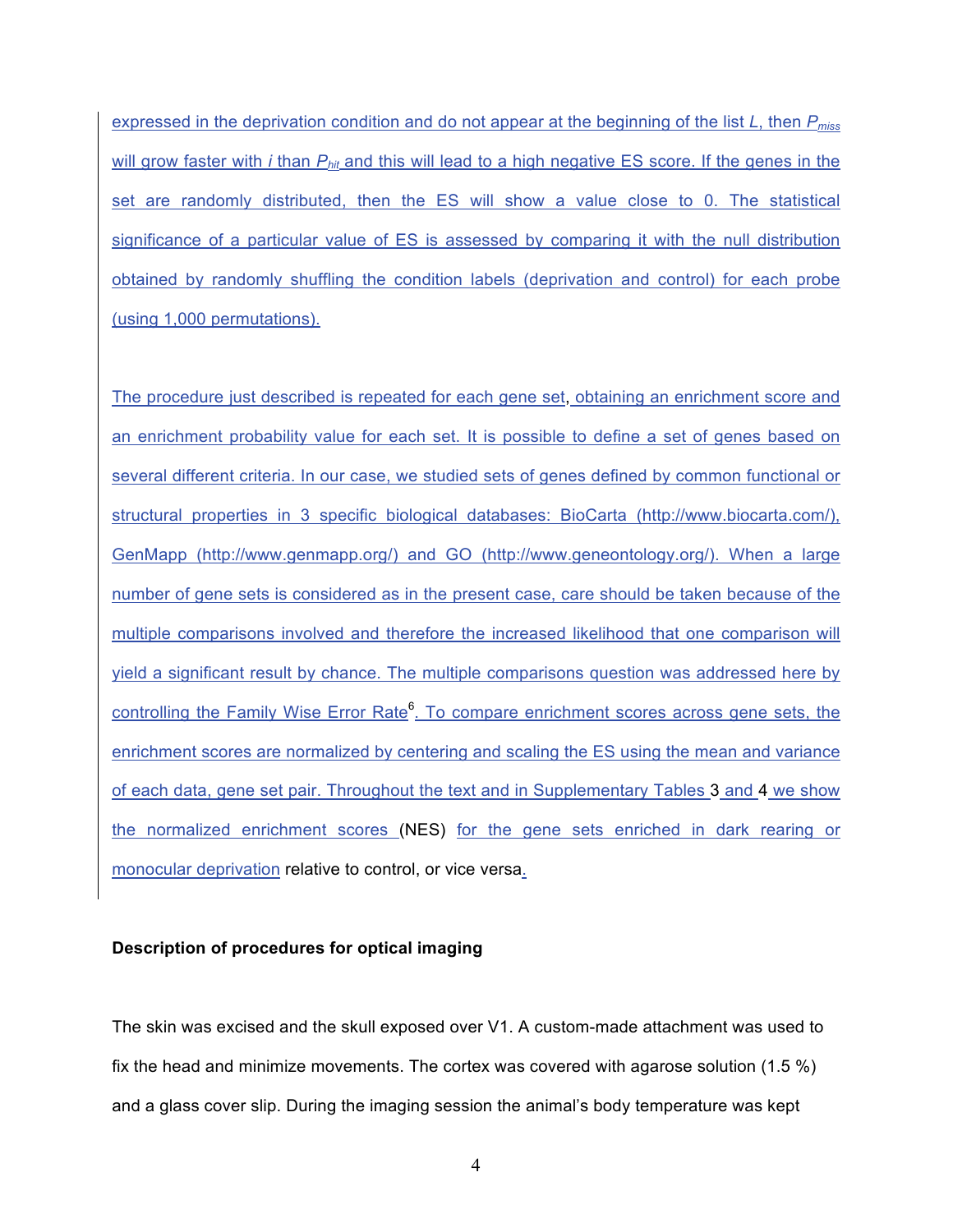expressed in the deprivation condition and do not appear at the beginning of the list *L*, then *Pmiss* will grow faster with *i* than  $P_{hit}$  and this will lead to a high negative ES score. If the genes in the set are randomly distributed, then the ES will show a value close to 0. The statistical significance of a particular value of ES is assessed by comparing it with the null distribution obtained by randomly shuffling the condition labels (deprivation and control) for each probe (using 1,000 permutations).

The procedure just described is repeated for each gene set, obtaining an enrichment score and an enrichment probability value for each set. It is possible to define a set of genes based on several different criteria. In our case, we studied sets of genes defined by common functional or structural properties in 3 specific biological databases: BioCarta (http://www.biocarta.com/), GenMapp (http://www.genmapp.org/) and GO (http://www.geneontology.org/). When a large number of gene sets is considered as in the present case, care should be taken because of the multiple comparisons involved and therefore the increased likelihood that one comparison will yield a significant result by chance. The multiple comparisons question was addressed here by controlling the Family Wise Error Rate<sup>6</sup>. To compare enrichment scores across gene sets, the enrichment scores are normalized by centering and scaling the ES using the mean and variance of each data, gene set pair. Throughout the text and in Supplementary Tables 3 and 4 we show the normalized enrichment scores (NES) for the gene sets enriched in dark rearing or monocular deprivation relative to control, or vice versa.

#### **Description of procedures for optical imaging**

The skin was excised and the skull exposed over V1. A custom-made attachment was used to fix the head and minimize movements. The cortex was covered with agarose solution (1.5 %) and a glass cover slip. During the imaging session the animal's body temperature was kept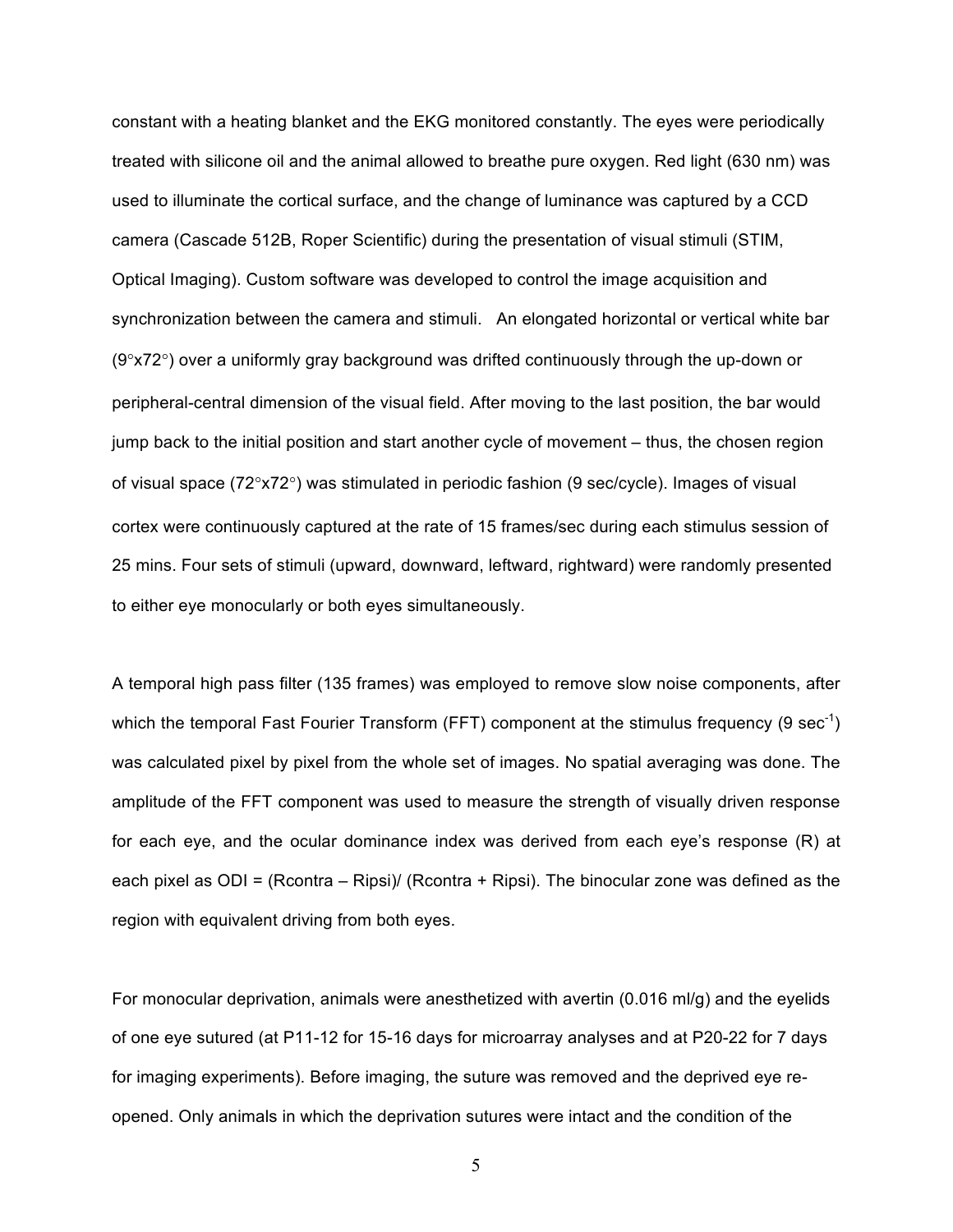constant with a heating blanket and the EKG monitored constantly. The eyes were periodically treated with silicone oil and the animal allowed to breathe pure oxygen. Red light (630 nm) was used to illuminate the cortical surface, and the change of luminance was captured by a CCD camera (Cascade 512B, Roper Scientific) during the presentation of visual stimuli (STIM, Optical Imaging). Custom software was developed to control the image acquisition and synchronization between the camera and stimuli. An elongated horizontal or vertical white bar (9°x72°) over a uniformly gray background was drifted continuously through the up-down or peripheral-central dimension of the visual field. After moving to the last position, the bar would jump back to the initial position and start another cycle of movement – thus, the chosen region of visual space (72°x72°) was stimulated in periodic fashion (9 sec/cycle). Images of visual cortex were continuously captured at the rate of 15 frames/sec during each stimulus session of 25 mins. Four sets of stimuli (upward, downward, leftward, rightward) were randomly presented to either eye monocularly or both eyes simultaneously.

A temporal high pass filter (135 frames) was employed to remove slow noise components, after which the temporal Fast Fourier Transform (FFT) component at the stimulus frequency (9 sec<sup>-1</sup>) was calculated pixel by pixel from the whole set of images. No spatial averaging was done. The amplitude of the FFT component was used to measure the strength of visually driven response for each eye, and the ocular dominance index was derived from each eye's response (R) at each pixel as ODI = (Rcontra – Ripsi)/ (Rcontra + Ripsi). The binocular zone was defined as the region with equivalent driving from both eyes.

For monocular deprivation, animals were anesthetized with avertin (0.016 ml/g) and the eyelids of one eye sutured (at P11-12 for 15-16 days for microarray analyses and at P20-22 for 7 days for imaging experiments). Before imaging, the suture was removed and the deprived eye reopened. Only animals in which the deprivation sutures were intact and the condition of the

5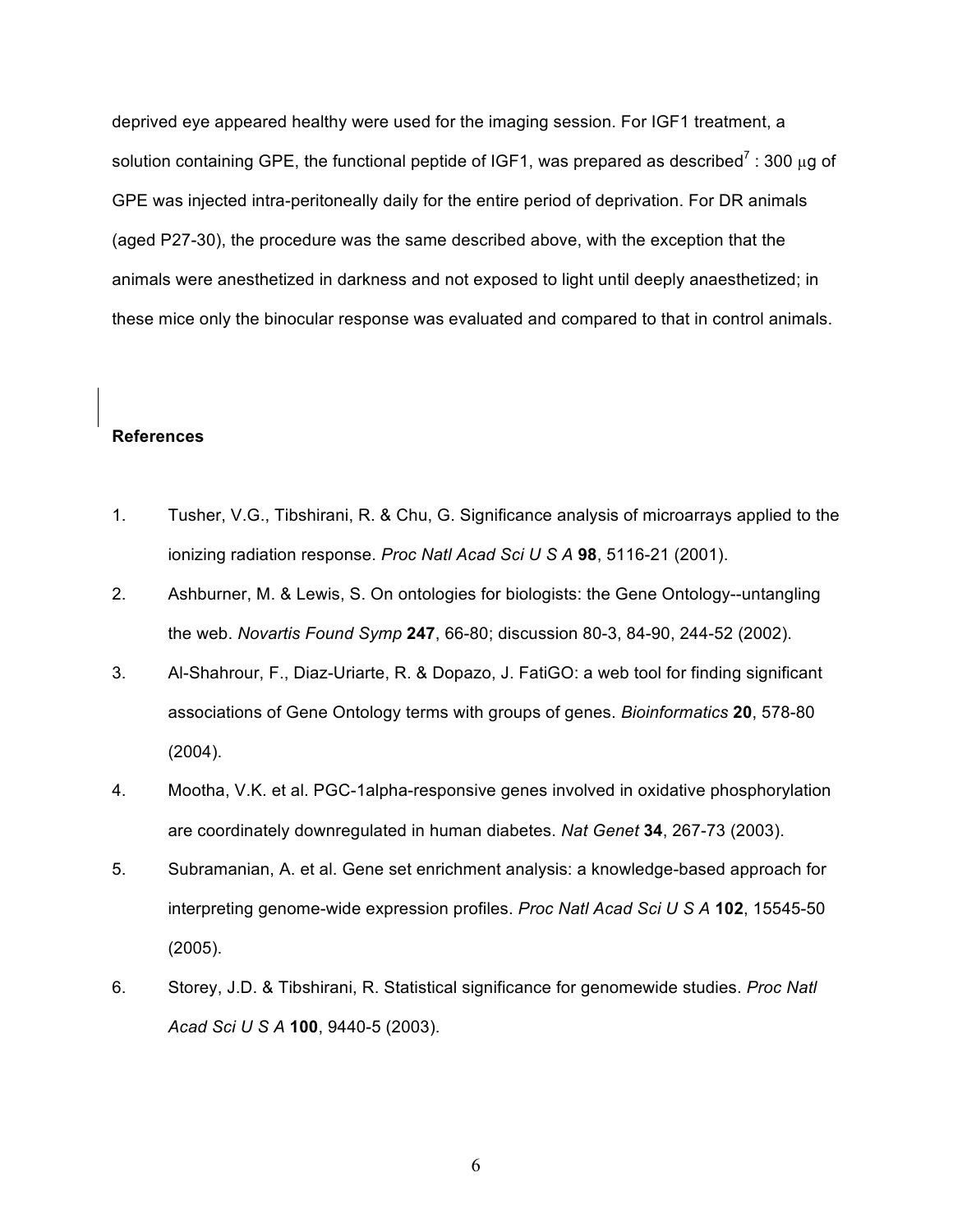deprived eye appeared healthy were used for the imaging session. For IGF1 treatment, a solution containing GPE, the functional peptide of IGF1, was prepared as described<sup>7</sup>: 300 µg of GPE was injected intra-peritoneally daily for the entire period of deprivation. For DR animals (aged P27-30), the procedure was the same described above, with the exception that the animals were anesthetized in darkness and not exposed to light until deeply anaesthetized; in these mice only the binocular response was evaluated and compared to that in control animals.

#### **References**

- 1. Tusher, V.G., Tibshirani, R. & Chu, G. Significance analysis of microarrays applied to the ionizing radiation response. *Proc Natl Acad Sci U S A* **98**, 5116-21 (2001).
- 2. Ashburner, M. & Lewis, S. On ontologies for biologists: the Gene Ontology--untangling the web. *Novartis Found Symp* **247**, 66-80; discussion 80-3, 84-90, 244-52 (2002).
- 3. Al-Shahrour, F., Diaz-Uriarte, R. & Dopazo, J. FatiGO: a web tool for finding significant associations of Gene Ontology terms with groups of genes. *Bioinformatics* **20**, 578-80 (2004).
- 4. Mootha, V.K. et al. PGC-1alpha-responsive genes involved in oxidative phosphorylation are coordinately downregulated in human diabetes. *Nat Genet* **34**, 267-73 (2003).
- 5. Subramanian, A. et al. Gene set enrichment analysis: a knowledge-based approach for interpreting genome-wide expression profiles. *Proc Natl Acad Sci U S A* **102**, 15545-50 (2005).
- 6. Storey, J.D. & Tibshirani, R. Statistical significance for genomewide studies. *Proc Natl Acad Sci U S A* **100**, 9440-5 (2003).